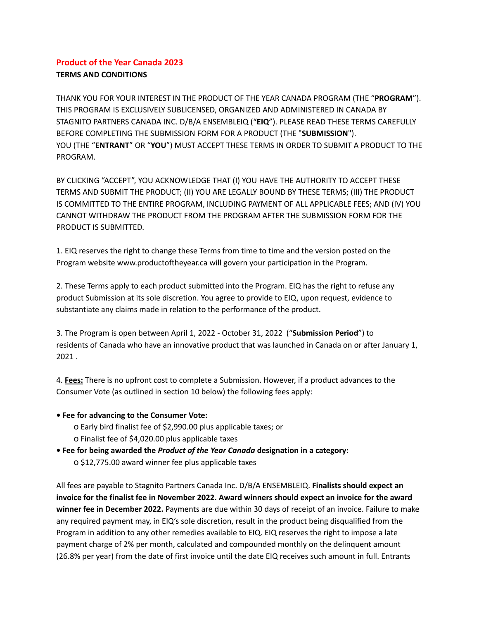## **Product of the Year Canada 2023 TERMS AND CONDITIONS**

THANK YOU FOR YOUR INTEREST IN THE PRODUCT OF THE YEAR CANADA PROGRAM (THE "**PROGRAM**"). THIS PROGRAM IS EXCLUSIVELY SUBLICENSED, ORGANIZED AND ADMINISTERED IN CANADA BY STAGNITO PARTNERS CANADA INC. D/B/A ENSEMBLEIQ ("**EIQ**"). PLEASE READ THESE TERMS CAREFULLY BEFORE COMPLETING THE SUBMISSION FORM FOR A PRODUCT (THE "**SUBMISSION**"). YOU (THE "**ENTRANT**" OR "**YOU**") MUST ACCEPT THESE TERMS IN ORDER TO SUBMIT A PRODUCT TO THE PROGRAM.

BY CLICKING "ACCEPT", YOU ACKNOWLEDGE THAT (I) YOU HAVE THE AUTHORITY TO ACCEPT THESE TERMS AND SUBMIT THE PRODUCT; (II) YOU ARE LEGALLY BOUND BY THESE TERMS; (III) THE PRODUCT IS COMMITTED TO THE ENTIRE PROGRAM, INCLUDING PAYMENT OF ALL APPLICABLE FEES; AND (IV) YOU CANNOT WITHDRAW THE PRODUCT FROM THE PROGRAM AFTER THE SUBMISSION FORM FOR THE PRODUCT IS SUBMITTED.

1. EIQ reserves the right to change these Terms from time to time and the version posted on the Program website www.productoftheyear.ca will govern your participation in the Program.

2. These Terms apply to each product submitted into the Program. EIQ has the right to refuse any product Submission at its sole discretion. You agree to provide to EIQ, upon request, evidence to substantiate any claims made in relation to the performance of the product.

3. The Program is open between April 1, 2022 - October 31, 2022 ("**Submission Period**") to residents of Canada who have an innovative product that was launched in Canada on or after January 1, 2021 .

4. **Fees:** There is no upfront cost to complete a Submission. However, if a product advances to the Consumer Vote (as outlined in section 10 below) the following fees apply:

## **• Fee for advancing to the Consumer Vote:**

- ο Early bird finalist fee of \$2,990.00 plus applicable taxes; or
- ο Finalist fee of \$4,020.00 plus applicable taxes
- **• Fee for being awarded the** *Product of the Year Canada* **designation in a category:**
	- ο \$12,775.00 award winner fee plus applicable taxes

All fees are payable to Stagnito Partners Canada Inc. D/B/A ENSEMBLEIQ. **Finalists should expect an invoice for the finalist fee in November 2022. Award winners should expect an invoice for the award winner fee in December 2022.** Payments are due within 30 days of receipt of an invoice. Failure to make any required payment may, in EIQ's sole discretion, result in the product being disqualified from the Program in addition to any other remedies available to EIQ. EIQ reserves the right to impose a late payment charge of 2% per month, calculated and compounded monthly on the delinquent amount (26.8% per year) from the date of first invoice until the date EIQ receives such amount in full. Entrants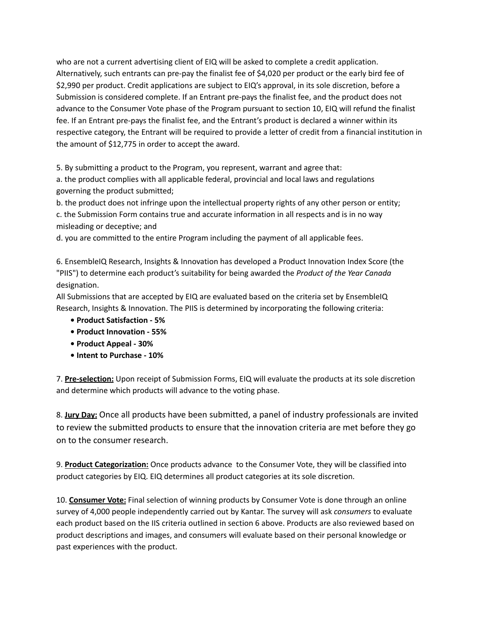who are not a current advertising client of EIQ will be asked to complete a credit application. Alternatively, such entrants can pre-pay the finalist fee of \$4,020 per product or the early bird fee of \$2,990 per product. Credit applications are subject to EIQ's approval, in its sole discretion, before a Submission is considered complete. If an Entrant pre-pays the finalist fee, and the product does not advance to the Consumer Vote phase of the Program pursuant to section 10, EIQ will refund the finalist fee. If an Entrant pre-pays the finalist fee, and the Entrant's product is declared a winner within its respective category, the Entrant will be required to provide a letter of credit from a financial institution in the amount of \$12,775 in order to accept the award.

5. By submitting a product to the Program, you represent, warrant and agree that:

a. the product complies with all applicable federal, provincial and local laws and regulations governing the product submitted;

b. the product does not infringe upon the intellectual property rights of any other person or entity; c. the Submission Form contains true and accurate information in all respects and is in no way misleading or deceptive; and

d. you are committed to the entire Program including the payment of all applicable fees.

6. EnsembleIQ Research, Insights & Innovation has developed a Product Innovation Index Score (the "PIIS") to determine each product's suitability for being awarded the *Product of the Year Canada* designation.

All Submissions that are accepted by EIQ are evaluated based on the criteria set by EnsembleIQ Research, Insights & Innovation. The PIIS is determined by incorporating the following criteria:

- **• Product Satisfaction - 5%**
- **• Product Innovation - 55%**
- **• Product Appeal - 30%**
- **• Intent to Purchase - 10%**

7. **Pre-selection:** Upon receipt of Submission Forms, EIQ will evaluate the products at its sole discretion and determine which products will advance to the voting phase.

8. **Jury Day:** Once all products have been submitted, a panel of industry professionals are invited to review the submitted products to ensure that the innovation criteria are met before they go on to the consumer research.

9. **Product Categorization:** Once products advance to the Consumer Vote, they will be classified into product categories by EIQ. EIQ determines all product categories at its sole discretion.

10. **Consumer Vote:** Final selection of winning products by Consumer Vote is done through an online survey of 4,000 people independently carried out by Kantar. The survey will ask *consumers* to evaluate each product based on the IIS criteria outlined in section 6 above. Products are also reviewed based on product descriptions and images, and consumers will evaluate based on their personal knowledge or past experiences with the product.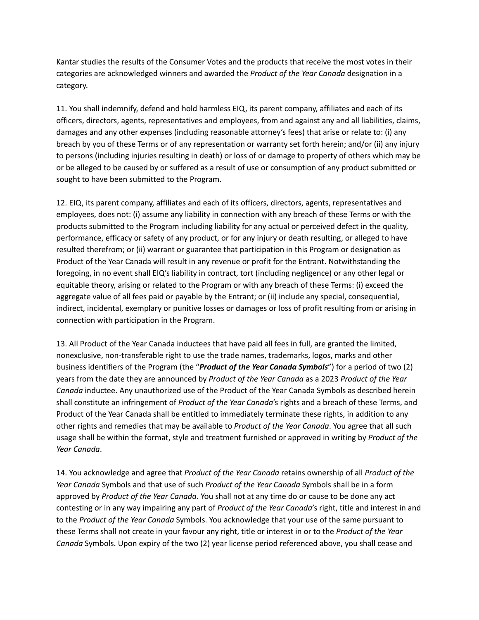Kantar studies the results of the Consumer Votes and the products that receive the most votes in their categories are acknowledged winners and awarded the *Product of the Year Canada* designation in a category.

11. You shall indemnify, defend and hold harmless EIQ, its parent company, affiliates and each of its officers, directors, agents, representatives and employees, from and against any and all liabilities, claims, damages and any other expenses (including reasonable attorney's fees) that arise or relate to: (i) any breach by you of these Terms or of any representation or warranty set forth herein; and/or (ii) any injury to persons (including injuries resulting in death) or loss of or damage to property of others which may be or be alleged to be caused by or suffered as a result of use or consumption of any product submitted or sought to have been submitted to the Program.

12. EIQ, its parent company, affiliates and each of its officers, directors, agents, representatives and employees, does not: (i) assume any liability in connection with any breach of these Terms or with the products submitted to the Program including liability for any actual or perceived defect in the quality, performance, efficacy or safety of any product, or for any injury or death resulting, or alleged to have resulted therefrom; or (ii) warrant or guarantee that participation in this Program or designation as Product of the Year Canada will result in any revenue or profit for the Entrant. Notwithstanding the foregoing, in no event shall EIQ's liability in contract, tort (including negligence) or any other legal or equitable theory, arising or related to the Program or with any breach of these Terms: (i) exceed the aggregate value of all fees paid or payable by the Entrant; or (ii) include any special, consequential, indirect, incidental, exemplary or punitive losses or damages or loss of profit resulting from or arising in connection with participation in the Program.

13. All Product of the Year Canada inductees that have paid all fees in full, are granted the limited, nonexclusive, non-transferable right to use the trade names, trademarks, logos, marks and other business identifiers of the Program (the "*Product of the Year Canada Symbols*") for a period of two (2) years from the date they are announced by *Product of the Year Canada* as a 2023 *Product of the Year Canada* inductee. Any unauthorized use of the Product of the Year Canada Symbols as described herein shall constitute an infringement of *Product of the Year Canada*'s rights and a breach of these Terms, and Product of the Year Canada shall be entitled to immediately terminate these rights, in addition to any other rights and remedies that may be available to *Product of the Year Canada*. You agree that all such usage shall be within the format, style and treatment furnished or approved in writing by *Product of the Year Canada*.

14. You acknowledge and agree that *Product of the Year Canada* retains ownership of all *Product of the Year Canada* Symbols and that use of such *Product of the Year Canada* Symbols shall be in a form approved by *Product of the Year Canada*. You shall not at any time do or cause to be done any act contesting or in any way impairing any part of *Product of the Year Canada*'s right, title and interest in and to the *Product of the Year Canada* Symbols. You acknowledge that your use of the same pursuant to these Terms shall not create in your favour any right, title or interest in or to the *Product of the Year Canada* Symbols. Upon expiry of the two (2) year license period referenced above, you shall cease and